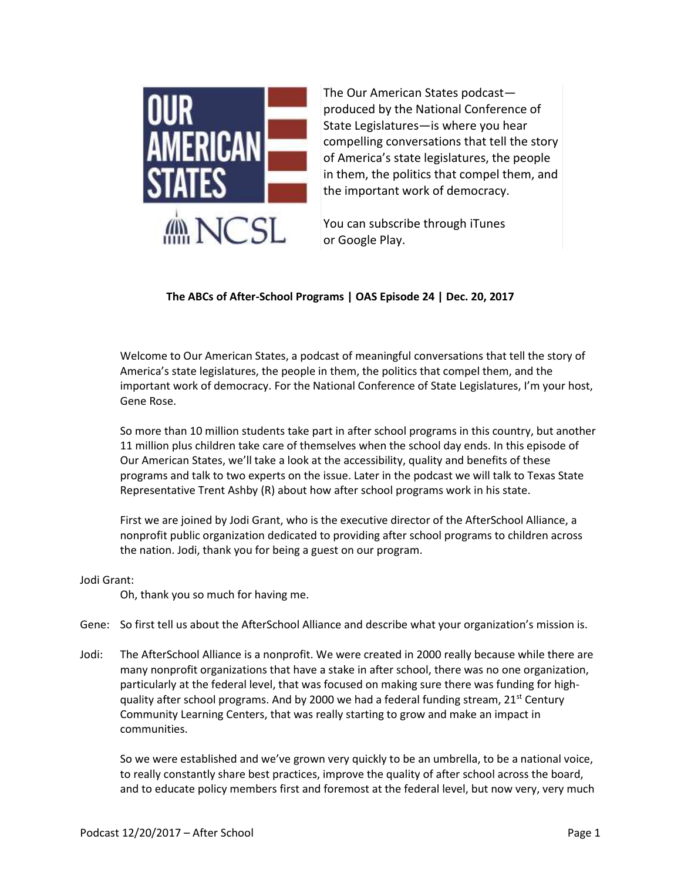

The Our American States podcast produced by the National Conference of State Legislatures—is where you hear compelling conversations that tell the story of America's state legislatures, the people in them, the politics that compel them, and the important work of democracy.

You can subscribe through iTunes or Google Play.

## **The ABCs of After-School Programs | OAS Episode 24 | Dec. 20, 2017**

Welcome to Our American States, a podcast of meaningful conversations that tell the story of America's state legislatures, the people in them, the politics that compel them, and the important work of democracy. For the National Conference of State Legislatures, I'm your host, Gene Rose.

So more than 10 million students take part in after school programs in this country, but another 11 million plus children take care of themselves when the school day ends. In this episode of Our American States, we'll take a look at the accessibility, quality and benefits of these programs and talk to two experts on the issue. Later in the podcast we will talk to Texas State Representative Trent Ashby (R) about how after school programs work in his state.

First we are joined by Jodi Grant, who is the executive director of the AfterSchool Alliance, a nonprofit public organization dedicated to providing after school programs to children across the nation. Jodi, thank you for being a guest on our program.

## Jodi Grant:

Oh, thank you so much for having me.

- Gene: So first tell us about the AfterSchool Alliance and describe what your organization's mission is.
- Jodi: The AfterSchool Alliance is a nonprofit. We were created in 2000 really because while there are many nonprofit organizations that have a stake in after school, there was no one organization, particularly at the federal level, that was focused on making sure there was funding for highquality after school programs. And by 2000 we had a federal funding stream,  $21^{st}$  Century Community Learning Centers, that was really starting to grow and make an impact in communities.

So we were established and we've grown very quickly to be an umbrella, to be a national voice, to really constantly share best practices, improve the quality of after school across the board, and to educate policy members first and foremost at the federal level, but now very, very much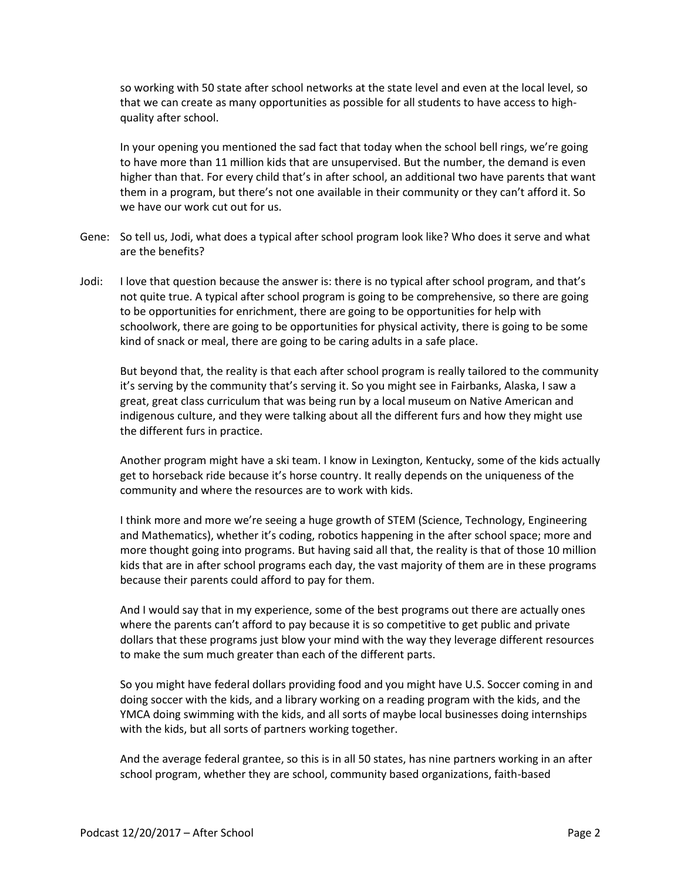so working with 50 state after school networks at the state level and even at the local level, so that we can create as many opportunities as possible for all students to have access to highquality after school.

In your opening you mentioned the sad fact that today when the school bell rings, we're going to have more than 11 million kids that are unsupervised. But the number, the demand is even higher than that. For every child that's in after school, an additional two have parents that want them in a program, but there's not one available in their community or they can't afford it. So we have our work cut out for us.

- Gene: So tell us, Jodi, what does a typical after school program look like? Who does it serve and what are the benefits?
- Jodi: I love that question because the answer is: there is no typical after school program, and that's not quite true. A typical after school program is going to be comprehensive, so there are going to be opportunities for enrichment, there are going to be opportunities for help with schoolwork, there are going to be opportunities for physical activity, there is going to be some kind of snack or meal, there are going to be caring adults in a safe place.

But beyond that, the reality is that each after school program is really tailored to the community it's serving by the community that's serving it. So you might see in Fairbanks, Alaska, I saw a great, great class curriculum that was being run by a local museum on Native American and indigenous culture, and they were talking about all the different furs and how they might use the different furs in practice.

Another program might have a ski team. I know in Lexington, Kentucky, some of the kids actually get to horseback ride because it's horse country. It really depends on the uniqueness of the community and where the resources are to work with kids.

I think more and more we're seeing a huge growth of STEM (Science, Technology, Engineering and Mathematics), whether it's coding, robotics happening in the after school space; more and more thought going into programs. But having said all that, the reality is that of those 10 million kids that are in after school programs each day, the vast majority of them are in these programs because their parents could afford to pay for them.

And I would say that in my experience, some of the best programs out there are actually ones where the parents can't afford to pay because it is so competitive to get public and private dollars that these programs just blow your mind with the way they leverage different resources to make the sum much greater than each of the different parts.

So you might have federal dollars providing food and you might have U.S. Soccer coming in and doing soccer with the kids, and a library working on a reading program with the kids, and the YMCA doing swimming with the kids, and all sorts of maybe local businesses doing internships with the kids, but all sorts of partners working together.

And the average federal grantee, so this is in all 50 states, has nine partners working in an after school program, whether they are school, community based organizations, faith-based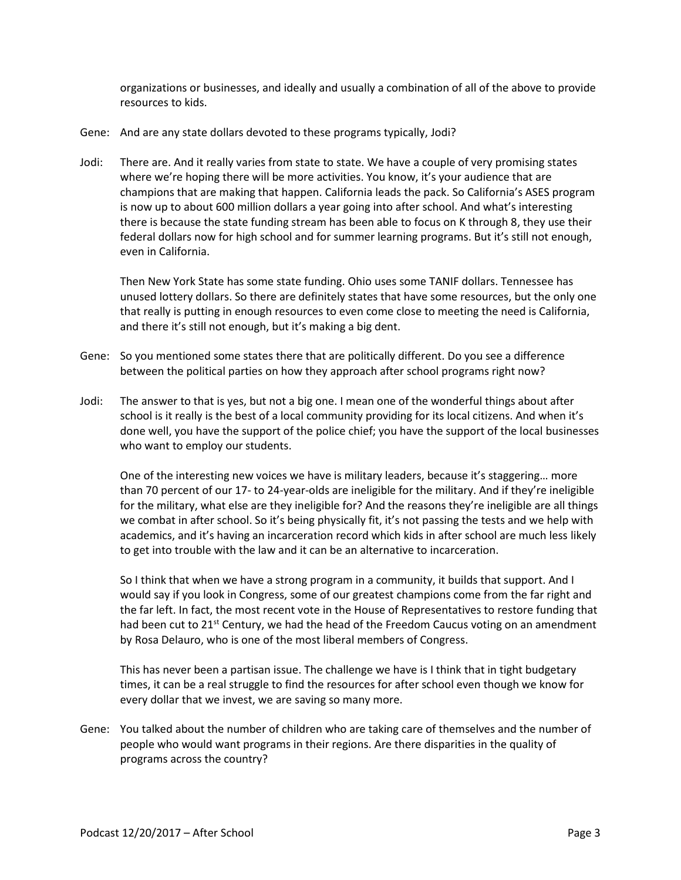organizations or businesses, and ideally and usually a combination of all of the above to provide resources to kids.

- Gene: And are any state dollars devoted to these programs typically, Jodi?
- Jodi: There are. And it really varies from state to state. We have a couple of very promising states where we're hoping there will be more activities. You know, it's your audience that are champions that are making that happen. California leads the pack. So California's ASES program is now up to about 600 million dollars a year going into after school. And what's interesting there is because the state funding stream has been able to focus on K through 8, they use their federal dollars now for high school and for summer learning programs. But it's still not enough, even in California.

Then New York State has some state funding. Ohio uses some TANIF dollars. Tennessee has unused lottery dollars. So there are definitely states that have some resources, but the only one that really is putting in enough resources to even come close to meeting the need is California, and there it's still not enough, but it's making a big dent.

- Gene: So you mentioned some states there that are politically different. Do you see a difference between the political parties on how they approach after school programs right now?
- Jodi: The answer to that is yes, but not a big one. I mean one of the wonderful things about after school is it really is the best of a local community providing for its local citizens. And when it's done well, you have the support of the police chief; you have the support of the local businesses who want to employ our students.

One of the interesting new voices we have is military leaders, because it's staggering… more than 70 percent of our 17- to 24-year-olds are ineligible for the military. And if they're ineligible for the military, what else are they ineligible for? And the reasons they're ineligible are all things we combat in after school. So it's being physically fit, it's not passing the tests and we help with academics, and it's having an incarceration record which kids in after school are much less likely to get into trouble with the law and it can be an alternative to incarceration.

So I think that when we have a strong program in a community, it builds that support. And I would say if you look in Congress, some of our greatest champions come from the far right and the far left. In fact, the most recent vote in the House of Representatives to restore funding that had been cut to 21st Century, we had the head of the Freedom Caucus voting on an amendment by Rosa Delauro, who is one of the most liberal members of Congress.

This has never been a partisan issue. The challenge we have is I think that in tight budgetary times, it can be a real struggle to find the resources for after school even though we know for every dollar that we invest, we are saving so many more.

Gene: You talked about the number of children who are taking care of themselves and the number of people who would want programs in their regions. Are there disparities in the quality of programs across the country?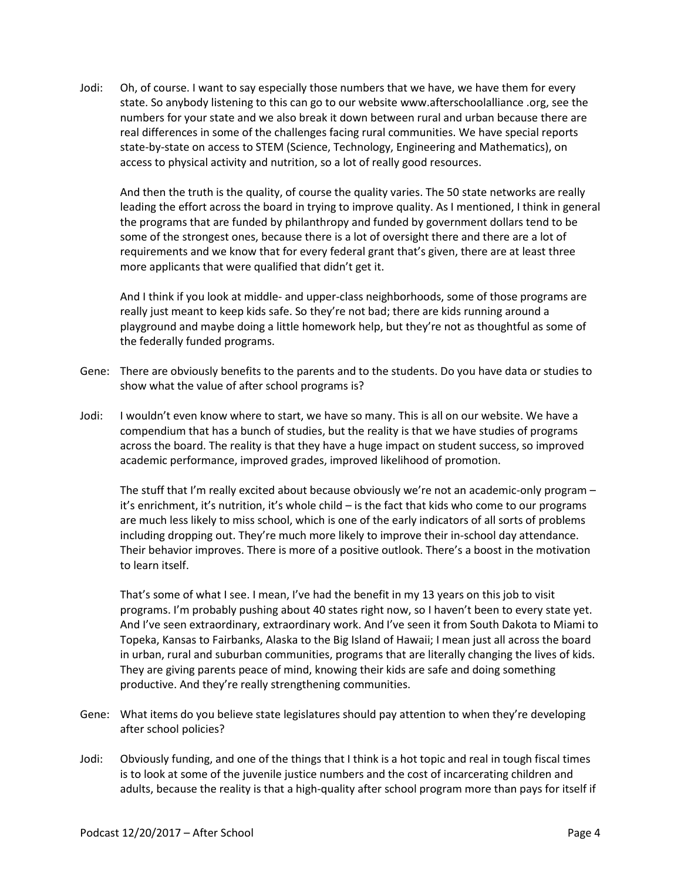Jodi: Oh, of course. I want to say especially those numbers that we have, we have them for every state. So anybody listening to this can go to our website www.afterschoolalliance .org, see the numbers for your state and we also break it down between rural and urban because there are real differences in some of the challenges facing rural communities. We have special reports state-by-state on access to STEM (Science, Technology, Engineering and Mathematics), on access to physical activity and nutrition, so a lot of really good resources.

And then the truth is the quality, of course the quality varies. The 50 state networks are really leading the effort across the board in trying to improve quality. As I mentioned, I think in general the programs that are funded by philanthropy and funded by government dollars tend to be some of the strongest ones, because there is a lot of oversight there and there are a lot of requirements and we know that for every federal grant that's given, there are at least three more applicants that were qualified that didn't get it.

And I think if you look at middle- and upper-class neighborhoods, some of those programs are really just meant to keep kids safe. So they're not bad; there are kids running around a playground and maybe doing a little homework help, but they're not as thoughtful as some of the federally funded programs.

- Gene: There are obviously benefits to the parents and to the students. Do you have data or studies to show what the value of after school programs is?
- Jodi: I wouldn't even know where to start, we have so many. This is all on our website. We have a compendium that has a bunch of studies, but the reality is that we have studies of programs across the board. The reality is that they have a huge impact on student success, so improved academic performance, improved grades, improved likelihood of promotion.

The stuff that I'm really excited about because obviously we're not an academic-only program – it's enrichment, it's nutrition, it's whole child – is the fact that kids who come to our programs are much less likely to miss school, which is one of the early indicators of all sorts of problems including dropping out. They're much more likely to improve their in-school day attendance. Their behavior improves. There is more of a positive outlook. There's a boost in the motivation to learn itself.

That's some of what I see. I mean, I've had the benefit in my 13 years on this job to visit programs. I'm probably pushing about 40 states right now, so I haven't been to every state yet. And I've seen extraordinary, extraordinary work. And I've seen it from South Dakota to Miami to Topeka, Kansas to Fairbanks, Alaska to the Big Island of Hawaii; I mean just all across the board in urban, rural and suburban communities, programs that are literally changing the lives of kids. They are giving parents peace of mind, knowing their kids are safe and doing something productive. And they're really strengthening communities.

- Gene: What items do you believe state legislatures should pay attention to when they're developing after school policies?
- Jodi: Obviously funding, and one of the things that I think is a hot topic and real in tough fiscal times is to look at some of the juvenile justice numbers and the cost of incarcerating children and adults, because the reality is that a high-quality after school program more than pays for itself if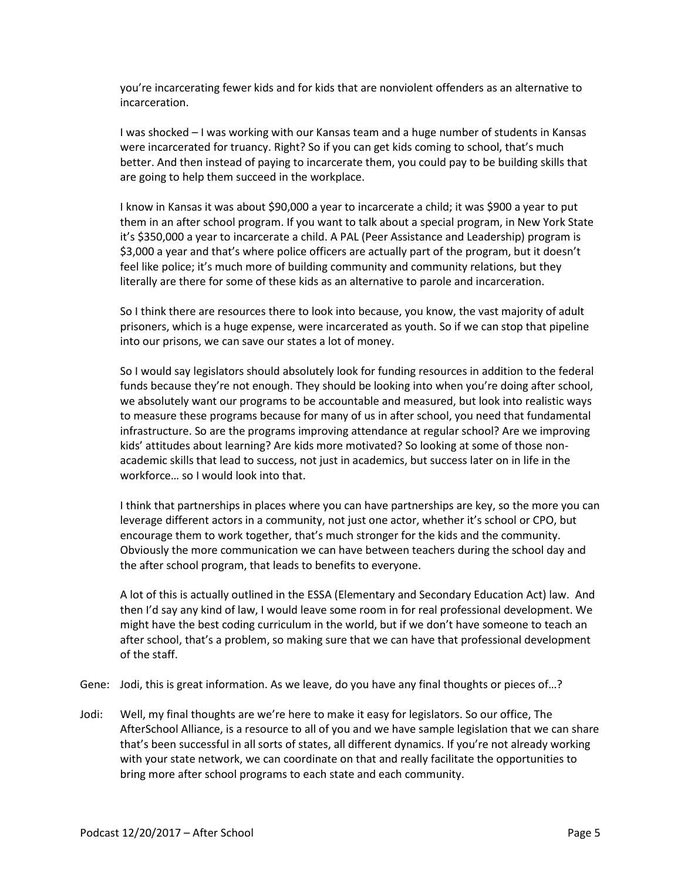you're incarcerating fewer kids and for kids that are nonviolent offenders as an alternative to incarceration.

I was shocked – I was working with our Kansas team and a huge number of students in Kansas were incarcerated for truancy. Right? So if you can get kids coming to school, that's much better. And then instead of paying to incarcerate them, you could pay to be building skills that are going to help them succeed in the workplace.

I know in Kansas it was about \$90,000 a year to incarcerate a child; it was \$900 a year to put them in an after school program. If you want to talk about a special program, in New York State it's \$350,000 a year to incarcerate a child. A PAL (Peer Assistance and Leadership) program is \$3,000 a year and that's where police officers are actually part of the program, but it doesn't feel like police; it's much more of building community and community relations, but they literally are there for some of these kids as an alternative to parole and incarceration.

So I think there are resources there to look into because, you know, the vast majority of adult prisoners, which is a huge expense, were incarcerated as youth. So if we can stop that pipeline into our prisons, we can save our states a lot of money.

So I would say legislators should absolutely look for funding resources in addition to the federal funds because they're not enough. They should be looking into when you're doing after school, we absolutely want our programs to be accountable and measured, but look into realistic ways to measure these programs because for many of us in after school, you need that fundamental infrastructure. So are the programs improving attendance at regular school? Are we improving kids' attitudes about learning? Are kids more motivated? So looking at some of those nonacademic skills that lead to success, not just in academics, but success later on in life in the workforce… so I would look into that.

I think that partnerships in places where you can have partnerships are key, so the more you can leverage different actors in a community, not just one actor, whether it's school or CPO, but encourage them to work together, that's much stronger for the kids and the community. Obviously the more communication we can have between teachers during the school day and the after school program, that leads to benefits to everyone.

A lot of this is actually outlined in the ESSA (Elementary and Secondary Education Act) law. And then I'd say any kind of law, I would leave some room in for real professional development. We might have the best coding curriculum in the world, but if we don't have someone to teach an after school, that's a problem, so making sure that we can have that professional development of the staff.

Gene: Jodi, this is great information. As we leave, do you have any final thoughts or pieces of…?

Jodi: Well, my final thoughts are we're here to make it easy for legislators. So our office, The AfterSchool Alliance, is a resource to all of you and we have sample legislation that we can share that's been successful in all sorts of states, all different dynamics. If you're not already working with your state network, we can coordinate on that and really facilitate the opportunities to bring more after school programs to each state and each community.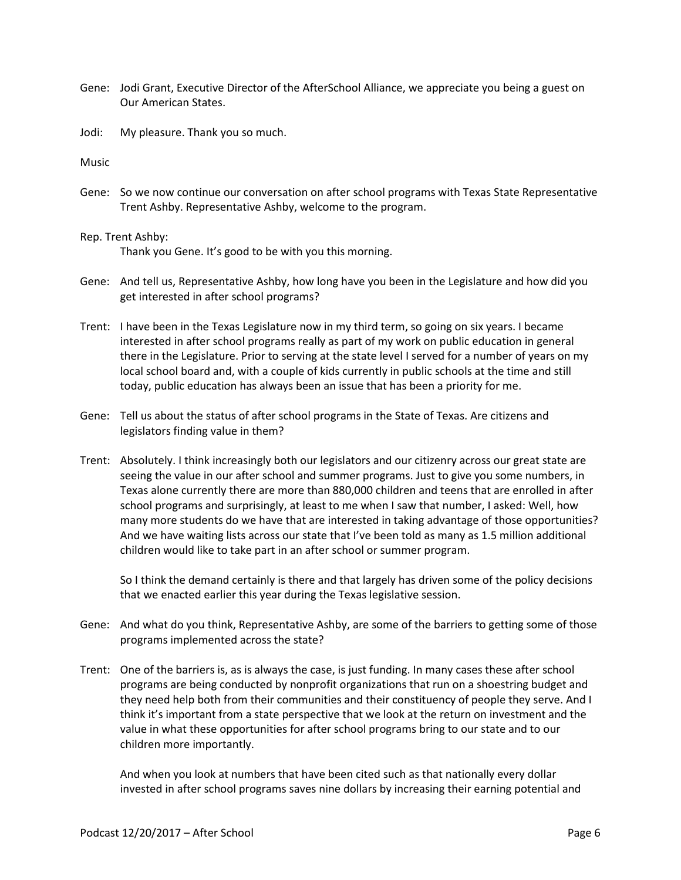- Gene: Jodi Grant, Executive Director of the AfterSchool Alliance, we appreciate you being a guest on Our American States.
- Jodi: My pleasure. Thank you so much.

Music

- Gene: So we now continue our conversation on after school programs with Texas State Representative Trent Ashby. Representative Ashby, welcome to the program.
- Rep. Trent Ashby: Thank you Gene. It's good to be with you this morning.
- Gene: And tell us, Representative Ashby, how long have you been in the Legislature and how did you get interested in after school programs?
- Trent: I have been in the Texas Legislature now in my third term, so going on six years. I became interested in after school programs really as part of my work on public education in general there in the Legislature. Prior to serving at the state level I served for a number of years on my local school board and, with a couple of kids currently in public schools at the time and still today, public education has always been an issue that has been a priority for me.
- Gene: Tell us about the status of after school programs in the State of Texas. Are citizens and legislators finding value in them?
- Trent: Absolutely. I think increasingly both our legislators and our citizenry across our great state are seeing the value in our after school and summer programs. Just to give you some numbers, in Texas alone currently there are more than 880,000 children and teens that are enrolled in after school programs and surprisingly, at least to me when I saw that number, I asked: Well, how many more students do we have that are interested in taking advantage of those opportunities? And we have waiting lists across our state that I've been told as many as 1.5 million additional children would like to take part in an after school or summer program.

So I think the demand certainly is there and that largely has driven some of the policy decisions that we enacted earlier this year during the Texas legislative session.

- Gene: And what do you think, Representative Ashby, are some of the barriers to getting some of those programs implemented across the state?
- Trent: One of the barriers is, as is always the case, is just funding. In many cases these after school programs are being conducted by nonprofit organizations that run on a shoestring budget and they need help both from their communities and their constituency of people they serve. And I think it's important from a state perspective that we look at the return on investment and the value in what these opportunities for after school programs bring to our state and to our children more importantly.

And when you look at numbers that have been cited such as that nationally every dollar invested in after school programs saves nine dollars by increasing their earning potential and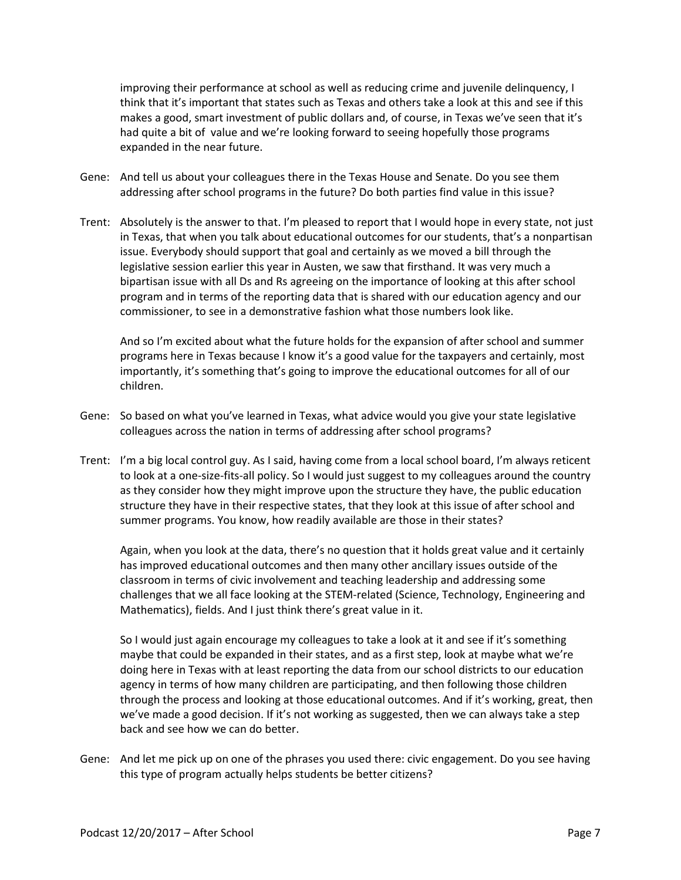improving their performance at school as well as reducing crime and juvenile delinquency, I think that it's important that states such as Texas and others take a look at this and see if this makes a good, smart investment of public dollars and, of course, in Texas we've seen that it's had quite a bit of value and we're looking forward to seeing hopefully those programs expanded in the near future.

- Gene: And tell us about your colleagues there in the Texas House and Senate. Do you see them addressing after school programs in the future? Do both parties find value in this issue?
- Trent: Absolutely is the answer to that. I'm pleased to report that I would hope in every state, not just in Texas, that when you talk about educational outcomes for our students, that's a nonpartisan issue. Everybody should support that goal and certainly as we moved a bill through the legislative session earlier this year in Austen, we saw that firsthand. It was very much a bipartisan issue with all Ds and Rs agreeing on the importance of looking at this after school program and in terms of the reporting data that is shared with our education agency and our commissioner, to see in a demonstrative fashion what those numbers look like.

And so I'm excited about what the future holds for the expansion of after school and summer programs here in Texas because I know it's a good value for the taxpayers and certainly, most importantly, it's something that's going to improve the educational outcomes for all of our children.

- Gene: So based on what you've learned in Texas, what advice would you give your state legislative colleagues across the nation in terms of addressing after school programs?
- Trent: I'm a big local control guy. As I said, having come from a local school board, I'm always reticent to look at a one-size-fits-all policy. So I would just suggest to my colleagues around the country as they consider how they might improve upon the structure they have, the public education structure they have in their respective states, that they look at this issue of after school and summer programs. You know, how readily available are those in their states?

Again, when you look at the data, there's no question that it holds great value and it certainly has improved educational outcomes and then many other ancillary issues outside of the classroom in terms of civic involvement and teaching leadership and addressing some challenges that we all face looking at the STEM-related (Science, Technology, Engineering and Mathematics), fields. And I just think there's great value in it.

So I would just again encourage my colleagues to take a look at it and see if it's something maybe that could be expanded in their states, and as a first step, look at maybe what we're doing here in Texas with at least reporting the data from our school districts to our education agency in terms of how many children are participating, and then following those children through the process and looking at those educational outcomes. And if it's working, great, then we've made a good decision. If it's not working as suggested, then we can always take a step back and see how we can do better.

Gene: And let me pick up on one of the phrases you used there: civic engagement. Do you see having this type of program actually helps students be better citizens?